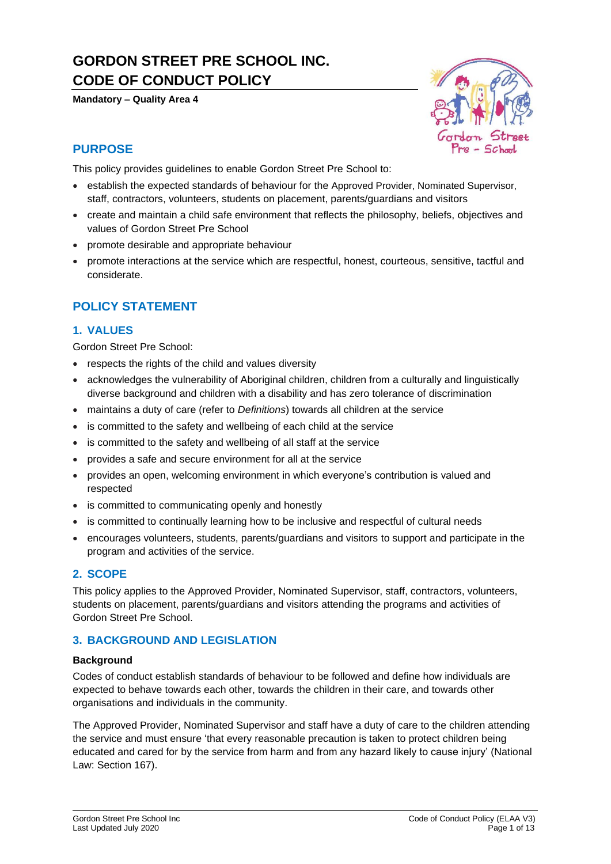# **GORDON STREET PRE SCHOOL INC. CODE OF CONDUCT POLICY**

**Mandatory – Quality Area 4**



### **PURPOSE**

This policy provides guidelines to enable Gordon Street Pre School to:

- establish the expected standards of behaviour for the Approved Provider, Nominated Supervisor, staff, contractors, volunteers, students on placement, parents/guardians and visitors
- create and maintain a child safe environment that reflects the philosophy, beliefs, objectives and values of Gordon Street Pre School
- promote desirable and appropriate behaviour
- promote interactions at the service which are respectful, honest, courteous, sensitive, tactful and considerate.

### **POLICY STATEMENT**

### **1. VALUES**

Gordon Street Pre School:

- respects the rights of the child and values diversity
- acknowledges the vulnerability of Aboriginal children, children from a culturally and linguistically diverse background and children with a disability and has zero tolerance of discrimination
- maintains a duty of care (refer to *Definitions*) towards all children at the service
- is committed to the safety and wellbeing of each child at the service
- is committed to the safety and wellbeing of all staff at the service
- provides a safe and secure environment for all at the service
- provides an open, welcoming environment in which everyone's contribution is valued and respected
- is committed to communicating openly and honestly
- is committed to continually learning how to be inclusive and respectful of cultural needs
- encourages volunteers, students, parents/guardians and visitors to support and participate in the program and activities of the service.

### **2. SCOPE**

This policy applies to the Approved Provider, Nominated Supervisor, staff, contractors, volunteers, students on placement, parents/guardians and visitors attending the programs and activities of Gordon Street Pre School.

### **3. BACKGROUND AND LEGISLATION**

#### **Background**

Codes of conduct establish standards of behaviour to be followed and define how individuals are expected to behave towards each other, towards the children in their care, and towards other organisations and individuals in the community.

The Approved Provider, Nominated Supervisor and staff have a duty of care to the children attending the service and must ensure 'that every reasonable precaution is taken to protect children being educated and cared for by the service from harm and from any hazard likely to cause injury' (National Law: Section 167).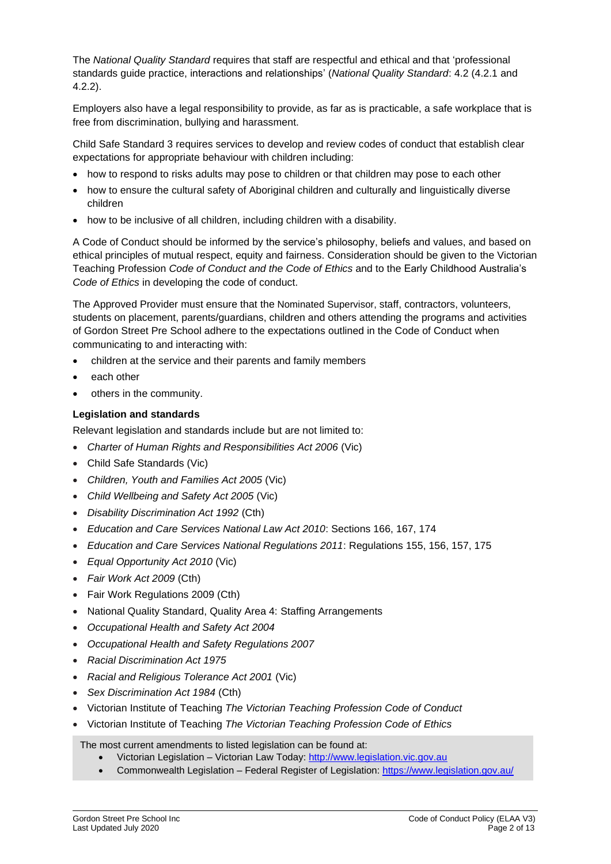The *National Quality Standard* requires that staff are respectful and ethical and that 'professional standards guide practice, interactions and relationships' (*National Quality Standard*: 4.2 (4.2.1 and 4.2.2).

Employers also have a legal responsibility to provide, as far as is practicable, a safe workplace that is free from discrimination, bullying and harassment.

Child Safe Standard 3 requires services to develop and review codes of conduct that establish clear expectations for appropriate behaviour with children including:

- how to respond to risks adults may pose to children or that children may pose to each other
- how to ensure the cultural safety of Aboriginal children and culturally and linguistically diverse children
- how to be inclusive of all children, including children with a disability.

A Code of Conduct should be informed by the service's philosophy, beliefs and values, and based on ethical principles of mutual respect, equity and fairness. Consideration should be given to the Victorian Teaching Profession *Code of Conduct and the Code of Ethics* and to the Early Childhood Australia's *Code of Ethics* in developing the code of conduct.

The Approved Provider must ensure that the Nominated Supervisor, staff, contractors, volunteers, students on placement, parents/guardians, children and others attending the programs and activities of Gordon Street Pre School adhere to the expectations outlined in the Code of Conduct when communicating to and interacting with:

- children at the service and their parents and family members
- each other
- others in the community.

#### **Legislation and standards**

Relevant legislation and standards include but are not limited to:

- *[Charter of Human Rights and Responsibilities Act 2006](http://www.legislation.vic.gov.au/Domino/Web_Notes/LDMS/PubStatbook.nsf/f932b66241ecf1b7ca256e92000e23be/54d73763ef9dca36ca2571b6002428b0!OpenDocument)* (Vic)
- Child Safe Standards (Vic)
- *Children, Youth and Families Act 2005* (Vic)
- *Child Wellbeing and Safety Act 2005* (Vic)
- *Disability Discrimination Act 1992* (Cth)
- *Education and Care Services National Law Act 2010*: Sections 166, 167, 174
- *Education and Care Services National Regulations 2011*: Regulations 155, 156, 157, 175
- *Equal Opportunity Act 2010* (Vic)
- *Fair Work Act 2009* (Cth)
- Fair Work Regulations 2009 (Cth)
- National Quality Standard, Quality Area 4: Staffing Arrangements
- *Occupational Health and Safety Act 2004*
- *Occupational Health and Safety Regulations 2007*
- *Racial Discrimination Act 1975*
- *[Racial and Religious Tolerance Act 2001](http://www.legislation.vic.gov.au/Domino/Web_Notes/LDMS/PubLawToday.nsf/a12f6f60fbd56800ca256de500201e54/ab66aeef028f70e7ca2576400082797c%21OpenDocument)* (Vic)
- *Sex Discrimination Act 1984* (Cth)
- Victorian Institute of Teaching *The Victorian Teaching Profession Code of Conduct*
- Victorian Institute of Teaching *The Victorian Teaching Profession Code of Ethics*

The most current amendments to listed legislation can be found at:

- Victorian Legislation Victorian Law Today: [http://www.legislation.vic.gov.au](http://www.legislation.vic.gov.au/)
- Commonwealth Legislation Federal Register of Legislation[: https://www.legislation.gov.au/](https://www.legislation.gov.au/)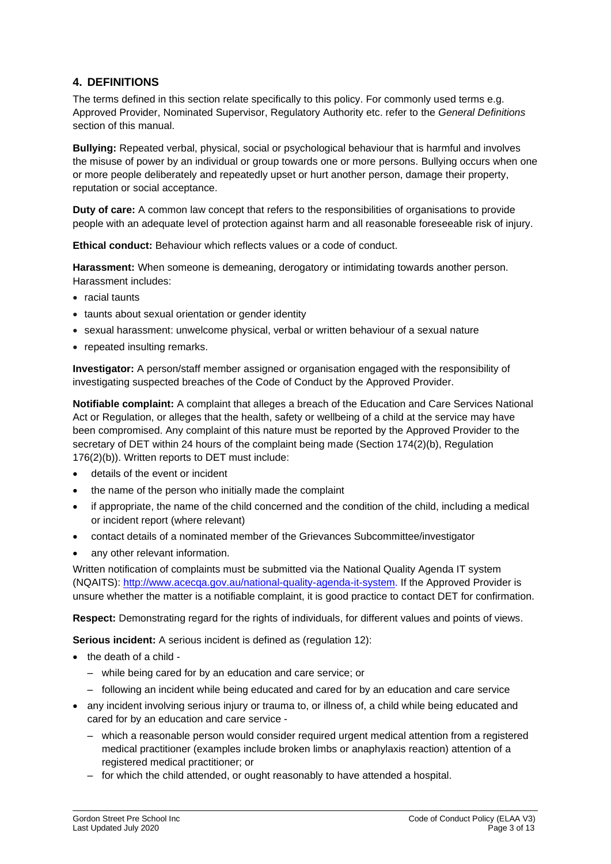### **4. DEFINITIONS**

The terms defined in this section relate specifically to this policy. For commonly used terms e.g. Approved Provider, Nominated Supervisor, Regulatory Authority etc. refer to the *General Definitions* section of this manual.

**Bullying:** Repeated verbal, physical, social or psychological behaviour that is harmful and involves the misuse of power by an individual or group towards one or more persons. Bullying occurs when one or more people deliberately and repeatedly upset or hurt another person, damage their property, reputation or social acceptance.

**Duty of care:** A common law concept that refers to the responsibilities of organisations to provide people with an adequate level of protection against harm and all reasonable foreseeable risk of injury.

**Ethical conduct:** Behaviour which reflects values or a code of conduct.

**Harassment:** When someone is demeaning, derogatory or intimidating towards another person. Harassment includes:

- racial taunts
- taunts about sexual orientation or gender identity
- sexual harassment: unwelcome physical, verbal or written behaviour of a sexual nature
- repeated insulting remarks.

**Investigator:** A person/staff member assigned or organisation engaged with the responsibility of investigating suspected breaches of the Code of Conduct by the Approved Provider.

**Notifiable complaint:** A complaint that alleges a breach of the Education and Care Services National Act or Regulation, or alleges that the health, safety or wellbeing of a child at the service may have been compromised. Any complaint of this nature must be reported by the Approved Provider to the secretary of DET within 24 hours of the complaint being made (Section 174(2)(b), Regulation 176(2)(b)). Written reports to DET must include:

- details of the event or incident
- the name of the person who initially made the complaint
- if appropriate, the name of the child concerned and the condition of the child, including a medical or incident report (where relevant)
- contact details of a nominated member of the Grievances Subcommittee/investigator
- any other relevant information.

Written notification of complaints must be submitted via the National Quality Agenda IT system (NQAITS): [http://www.acecqa.gov.au/national-quality-agenda-it-system.](http://www.acecqa.gov.au/national-quality-agenda-it-system) If the Approved Provider is unsure whether the matter is a notifiable complaint, it is good practice to contact DET for confirmation.

**Respect:** Demonstrating regard for the rights of individuals, for different values and points of views.

**Serious incident:** A serious incident is defined as (regulation 12):

- the death of a child
	- while being cared for by an education and care service; or
	- following an incident while being educated and cared for by an education and care service
- any incident involving serious injury or trauma to, or illness of, a child while being educated and cared for by an education and care service -
	- which a reasonable person would consider required urgent medical attention from a registered medical practitioner (examples include broken limbs or anaphylaxis reaction) attention of a registered medical practitioner; or
	- for which the child attended, or ought reasonably to have attended a hospital.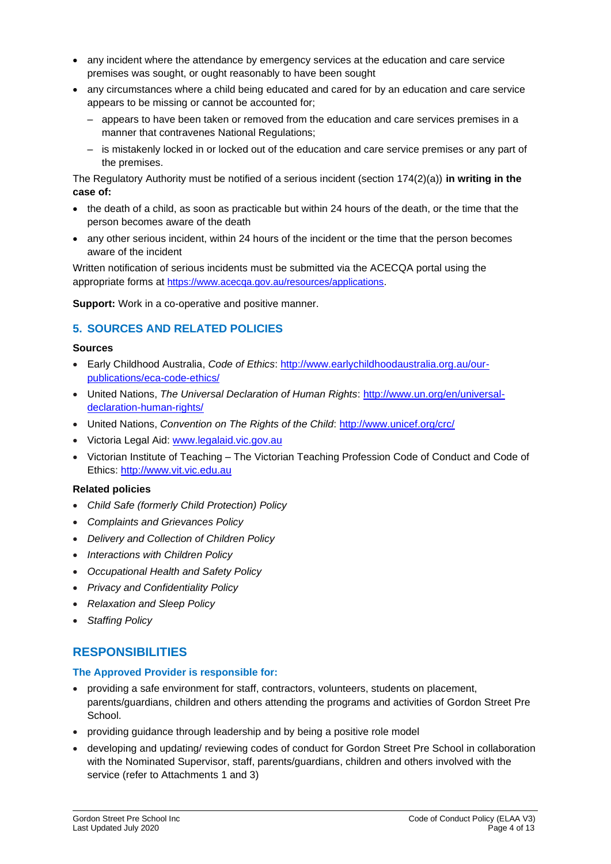- any incident where the attendance by emergency services at the education and care service premises was sought, or ought reasonably to have been sought
- any circumstances where a child being educated and cared for by an education and care service appears to be missing or cannot be accounted for;
	- appears to have been taken or removed from the education and care services premises in a manner that contravenes National Regulations;
	- is mistakenly locked in or locked out of the education and care service premises or any part of the premises.

The Regulatory Authority must be notified of a serious incident (section 174(2)(a)) **in writing in the case of:**

- the death of a child, as soon as practicable but within 24 hours of the death, or the time that the person becomes aware of the death
- any other serious incident, within 24 hours of the incident or the time that the person becomes aware of the incident

Written notification of serious incidents must be submitted via the ACECQA portal using the appropriate forms at <https://www.acecqa.gov.au/resources/applications>.

**Support:** Work in a co-operative and positive manner.

### **5. SOURCES AND RELATED POLICIES**

#### **Sources**

- Early Childhood Australia, *Code of Ethics*: [http://www.earlychildhoodaustralia.org.au/our](http://www.earlychildhoodaustralia.org.au/our-publications/eca-code-ethics/)[publications/eca-code-ethics/](http://www.earlychildhoodaustralia.org.au/our-publications/eca-code-ethics/)
- United Nations, *The Universal Declaration of Human Rights*: [http://www.un.org/en/universal](http://www.un.org/en/universal-declaration-human-rights/)[declaration-human-rights/](http://www.un.org/en/universal-declaration-human-rights/)
- United Nations, *Convention on The Rights of the Child*:<http://www.unicef.org/crc/>
- Victoria Legal Aid: [www.legalaid.vic.gov.au](http://www.legalaid.vic.gov.au/)
- Victorian Institute of Teaching The Victorian Teaching Profession Code of Conduct and Code of Ethics: [http://www.vit.vic.edu.au](http://www.vit.vic.edu.au/)

#### **Related policies**

- *Child Safe (formerly Child Protection) Policy*
- *Complaints and Grievances Policy*
- *Delivery and Collection of Children Policy*
- *Interactions with Children Policy*
- *Occupational Health and Safety Policy*
- *Privacy and Confidentiality Policy*
- *Relaxation and Sleep Policy*
- *Staffing Policy*

### **RESPONSIBILITIES**

#### **The Approved Provider is responsible for:**

- providing a safe environment for staff, contractors, volunteers, students on placement, parents/guardians, children and others attending the programs and activities of Gordon Street Pre School.
- providing guidance through leadership and by being a positive role model
- developing and updating/ reviewing codes of conduct for Gordon Street Pre School in collaboration with the Nominated Supervisor, staff, parents/guardians, children and others involved with the service (refer to Attachments 1 and 3)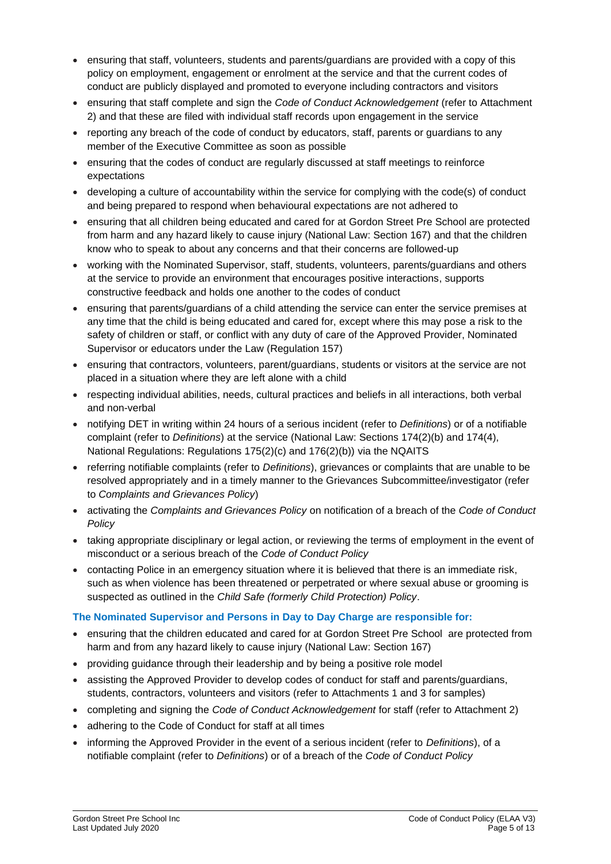- ensuring that staff, volunteers, students and parents/guardians are provided with a copy of this policy on employment, engagement or enrolment at the service and that the current codes of conduct are publicly displayed and promoted to everyone including contractors and visitors
- ensuring that staff complete and sign the *Code of Conduct Acknowledgement* (refer to Attachment 2) and that these are filed with individual staff records upon engagement in the service
- reporting any breach of the code of conduct by educators, staff, parents or quardians to any member of the Executive Committee as soon as possible
- ensuring that the codes of conduct are regularly discussed at staff meetings to reinforce expectations
- developing a culture of accountability within the service for complying with the code(s) of conduct and being prepared to respond when behavioural expectations are not adhered to
- ensuring that all children being educated and cared for at Gordon Street Pre School are protected from harm and any hazard likely to cause injury (National Law: Section 167) and that the children know who to speak to about any concerns and that their concerns are followed-up
- working with the Nominated Supervisor, staff, students, volunteers, parents/guardians and others at the service to provide an environment that encourages positive interactions, supports constructive feedback and holds one another to the codes of conduct
- ensuring that parents/guardians of a child attending the service can enter the service premises at any time that the child is being educated and cared for, except where this may pose a risk to the safety of children or staff, or conflict with any duty of care of the Approved Provider, Nominated Supervisor or educators under the Law (Regulation 157)
- ensuring that contractors, volunteers, parent/guardians, students or visitors at the service are not placed in a situation where they are left alone with a child
- respecting individual abilities, needs, cultural practices and beliefs in all interactions, both verbal and non-verbal
- notifying DET in writing within 24 hours of a serious incident (refer to *Definitions*) or of a notifiable complaint (refer to *Definitions*) at the service (National Law: Sections 174(2)(b) and 174(4), National Regulations: Regulations 175(2)(c) and 176(2)(b)) via the NQAITS
- referring notifiable complaints (refer to *Definitions*), grievances or complaints that are unable to be resolved appropriately and in a timely manner to the Grievances Subcommittee/investigator (refer to *Complaints and Grievances Policy*)
- activating the *Complaints and Grievances Policy* on notification of a breach of the *Code of Conduct Policy*
- taking appropriate disciplinary or legal action, or reviewing the terms of employment in the event of misconduct or a serious breach of the *Code of Conduct Policy*
- contacting Police in an emergency situation where it is believed that there is an immediate risk, such as when violence has been threatened or perpetrated or where sexual abuse or grooming is suspected as outlined in the *Child Safe (formerly Child Protection) Policy*.

#### **The Nominated Supervisor and Persons in Day to Day Charge are responsible for:**

- ensuring that the children educated and cared for at Gordon Street Pre School are protected from harm and from any hazard likely to cause injury (National Law: Section 167)
- providing guidance through their leadership and by being a positive role model
- assisting the Approved Provider to develop codes of conduct for staff and parents/guardians, students, contractors, volunteers and visitors (refer to Attachments 1 and 3 for samples)
- completing and signing the *Code of Conduct Acknowledgement* for staff (refer to Attachment 2)
- adhering to the Code of Conduct for staff at all times
- informing the Approved Provider in the event of a serious incident (refer to *Definitions*), of a notifiable complaint (refer to *Definitions*) or of a breach of the *Code of Conduct Policy*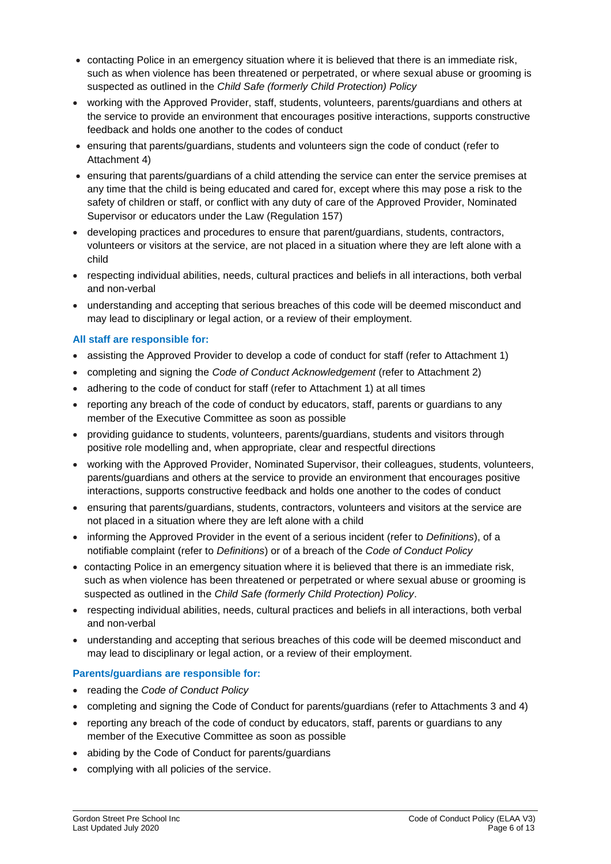- contacting Police in an emergency situation where it is believed that there is an immediate risk, such as when violence has been threatened or perpetrated, or where sexual abuse or grooming is suspected as outlined in the *Child Safe (formerly Child Protection) Policy*
- working with the Approved Provider, staff, students, volunteers, parents/guardians and others at the service to provide an environment that encourages positive interactions, supports constructive feedback and holds one another to the codes of conduct
- ensuring that parents/guardians, students and volunteers sign the code of conduct (refer to Attachment 4)
- ensuring that parents/guardians of a child attending the service can enter the service premises at any time that the child is being educated and cared for, except where this may pose a risk to the safety of children or staff, or conflict with any duty of care of the Approved Provider, Nominated Supervisor or educators under the Law (Regulation 157)
- developing practices and procedures to ensure that parent/guardians, students, contractors, volunteers or visitors at the service, are not placed in a situation where they are left alone with a child
- respecting individual abilities, needs, cultural practices and beliefs in all interactions, both verbal and non-verbal
- understanding and accepting that serious breaches of this code will be deemed misconduct and may lead to disciplinary or legal action, or a review of their employment.

#### **All staff are responsible for:**

- assisting the Approved Provider to develop a code of conduct for staff (refer to Attachment 1)
- completing and signing the *Code of Conduct Acknowledgement* (refer to Attachment 2)
- adhering to the code of conduct for staff (refer to Attachment 1) at all times
- reporting any breach of the code of conduct by educators, staff, parents or guardians to any member of the Executive Committee as soon as possible
- providing guidance to students, volunteers, parents/guardians, students and visitors through positive role modelling and, when appropriate, clear and respectful directions
- working with the Approved Provider, Nominated Supervisor, their colleagues, students, volunteers, parents/guardians and others at the service to provide an environment that encourages positive interactions, supports constructive feedback and holds one another to the codes of conduct
- ensuring that parents/guardians, students, contractors, volunteers and visitors at the service are not placed in a situation where they are left alone with a child
- informing the Approved Provider in the event of a serious incident (refer to *Definitions*), of a notifiable complaint (refer to *Definitions*) or of a breach of the *Code of Conduct Policy*
- contacting Police in an emergency situation where it is believed that there is an immediate risk, such as when violence has been threatened or perpetrated or where sexual abuse or grooming is suspected as outlined in the *Child Safe (formerly Child Protection) Policy*.
- respecting individual abilities, needs, cultural practices and beliefs in all interactions, both verbal and non-verbal
- understanding and accepting that serious breaches of this code will be deemed misconduct and may lead to disciplinary or legal action, or a review of their employment.

#### **Parents/guardians are responsible for:**

- reading the *Code of Conduct Policy*
- completing and signing the Code of Conduct for parents/guardians (refer to Attachments 3 and 4)
- reporting any breach of the code of conduct by educators, staff, parents or guardians to any member of the Executive Committee as soon as possible
- abiding by the Code of Conduct for parents/guardians
- complying with all policies of the service.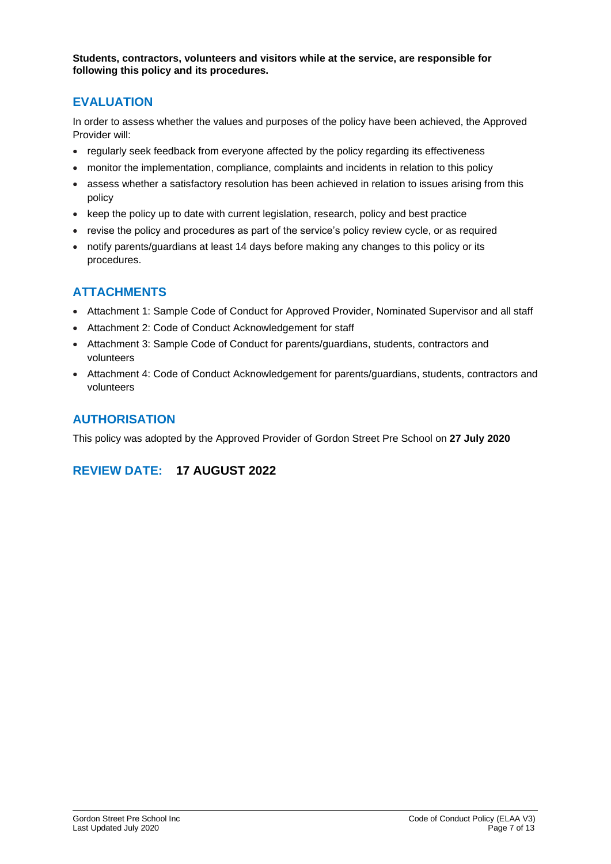**Students, contractors, volunteers and visitors while at the service, are responsible for following this policy and its procedures.**

### **EVALUATION**

In order to assess whether the values and purposes of the policy have been achieved, the Approved Provider will:

- regularly seek feedback from everyone affected by the policy regarding its effectiveness
- monitor the implementation, compliance, complaints and incidents in relation to this policy
- assess whether a satisfactory resolution has been achieved in relation to issues arising from this policy
- keep the policy up to date with current legislation, research, policy and best practice
- revise the policy and procedures as part of the service's policy review cycle, or as required
- notify parents/guardians at least 14 days before making any changes to this policy or its procedures.

## **ATTACHMENTS**

- Attachment 1: Sample Code of Conduct for Approved Provider, Nominated Supervisor and all staff
- Attachment 2: Code of Conduct Acknowledgement for staff
- Attachment 3: Sample Code of Conduct for parents/guardians, students, contractors and volunteers
- Attachment 4: Code of Conduct Acknowledgement for parents/guardians, students, contractors and volunteers

### **AUTHORISATION**

This policy was adopted by the Approved Provider of Gordon Street Pre School on **27 July 2020**

### **REVIEW DATE: 17 AUGUST 2022**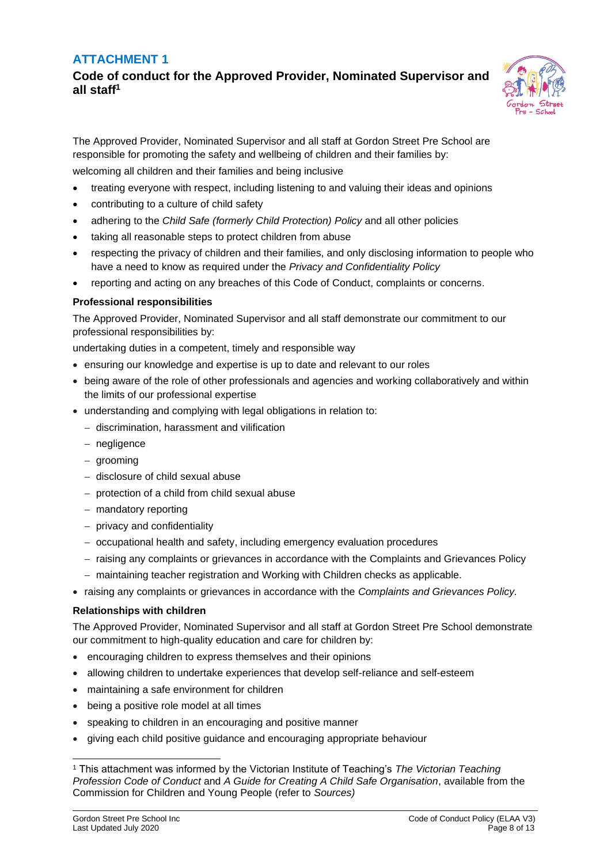### **ATTACHMENT 1**

**Code of conduct for the Approved Provider, Nominated Supervisor and all staff<sup>1</sup>**



The Approved Provider, Nominated Supervisor and all staff at Gordon Street Pre School are responsible for promoting the safety and wellbeing of children and their families by: welcoming all children and their families and being inclusive

- treating everyone with respect, including listening to and valuing their ideas and opinions
- contributing to a culture of child safety
- adhering to the *Child Safe (formerly Child Protection) Policy* and all other policies
- taking all reasonable steps to protect children from abuse
- respecting the privacy of children and their families, and only disclosing information to people who have a need to know as required under the *Privacy and Confidentiality Policy*
- reporting and acting on any breaches of this Code of Conduct, complaints or concerns.

#### **Professional responsibilities**

The Approved Provider, Nominated Supervisor and all staff demonstrate our commitment to our professional responsibilities by:

undertaking duties in a competent, timely and responsible way

- ensuring our knowledge and expertise is up to date and relevant to our roles
- being aware of the role of other professionals and agencies and working collaboratively and within the limits of our professional expertise
- understanding and complying with legal obligations in relation to:
	- − discrimination, harassment and vilification
	- − negligence
	- − grooming
	- − disclosure of child sexual abuse
	- − protection of a child from child sexual abuse
	- − mandatory reporting
	- − privacy and confidentiality
	- − occupational health and safety, including emergency evaluation procedures
	- − raising any complaints or grievances in accordance with the Complaints and Grievances Policy
	- − maintaining teacher registration and Working with Children checks as applicable.
- raising any complaints or grievances in accordance with the *Complaints and Grievances Policy.*

#### **Relationships with children**

The Approved Provider, Nominated Supervisor and all staff at Gordon Street Pre School demonstrate our commitment to high-quality education and care for children by:

- encouraging children to express themselves and their opinions
- allowing children to undertake experiences that develop self-reliance and self-esteem
- maintaining a safe environment for children
- being a positive role model at all times
- speaking to children in an encouraging and positive manner
- giving each child positive guidance and encouraging appropriate behaviour

<sup>1</sup> This attachment was informed by the Victorian Institute of Teaching's *The Victorian Teaching Profession Code of Conduct* and *A Guide for Creating A Child Safe Organisation*, available from the Commission for Children and Young People (refer to *Sources)*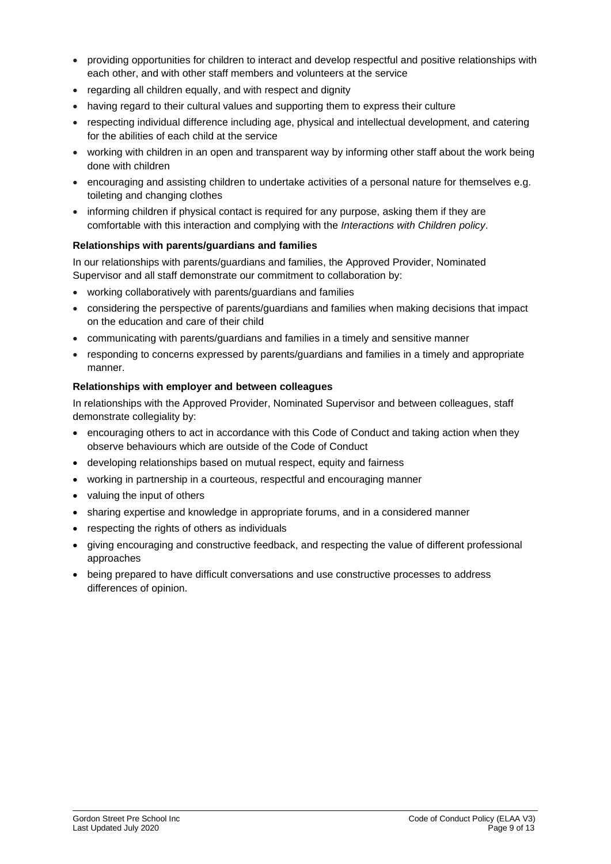- providing opportunities for children to interact and develop respectful and positive relationships with each other, and with other staff members and volunteers at the service
- regarding all children equally, and with respect and dignity
- having regard to their cultural values and supporting them to express their culture
- respecting individual difference including age, physical and intellectual development, and catering for the abilities of each child at the service
- working with children in an open and transparent way by informing other staff about the work being done with children
- encouraging and assisting children to undertake activities of a personal nature for themselves e.g. toileting and changing clothes
- informing children if physical contact is required for any purpose, asking them if they are comfortable with this interaction and complying with the *Interactions with Children policy*.

#### **Relationships with parents/guardians and families**

In our relationships with parents/guardians and families, the Approved Provider, Nominated Supervisor and all staff demonstrate our commitment to collaboration by:

- working collaboratively with parents/guardians and families
- considering the perspective of parents/guardians and families when making decisions that impact on the education and care of their child
- communicating with parents/guardians and families in a timely and sensitive manner
- responding to concerns expressed by parents/guardians and families in a timely and appropriate manner.

#### **Relationships with employer and between colleagues**

In relationships with the Approved Provider, Nominated Supervisor and between colleagues, staff demonstrate collegiality by:

- encouraging others to act in accordance with this Code of Conduct and taking action when they observe behaviours which are outside of the Code of Conduct
- developing relationships based on mutual respect, equity and fairness
- working in partnership in a courteous, respectful and encouraging manner
- valuing the input of others
- sharing expertise and knowledge in appropriate forums, and in a considered manner
- respecting the rights of others as individuals
- giving encouraging and constructive feedback, and respecting the value of different professional approaches
- being prepared to have difficult conversations and use constructive processes to address differences of opinion.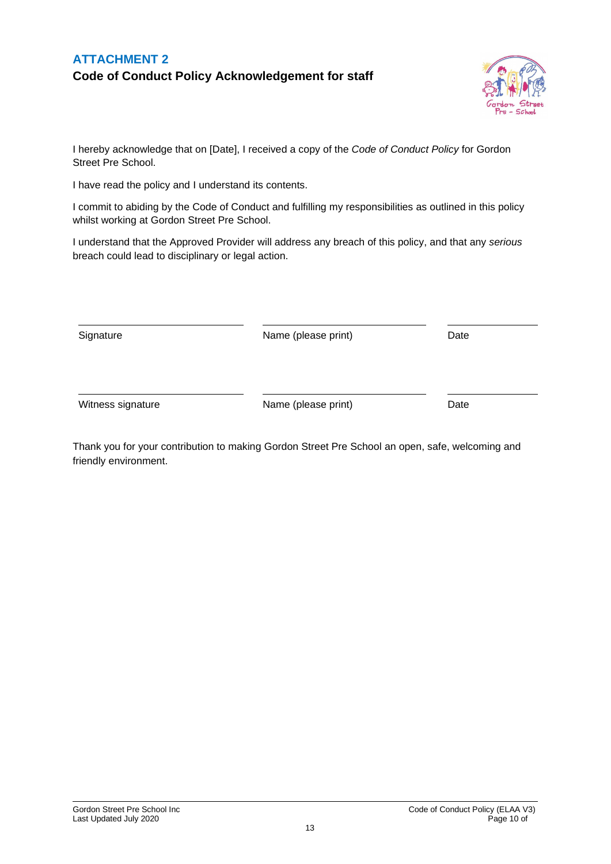### **ATTACHMENT 2 Code of Conduct Policy Acknowledgement for staff**



I hereby acknowledge that on [Date], I received a copy of the *Code of Conduct Policy* for Gordon Street Pre School.

I have read the policy and I understand its contents.

I commit to abiding by the Code of Conduct and fulfilling my responsibilities as outlined in this policy whilst working at Gordon Street Pre School.

I understand that the Approved Provider will address any breach of this policy, and that any *serious* breach could lead to disciplinary or legal action.

| Signature | Name (please print) | Date |
|-----------|---------------------|------|
|           |                     |      |
|           |                     |      |

Witness signature **Name** (please print) Date

Thank you for your contribution to making Gordon Street Pre School an open, safe, welcoming and friendly environment.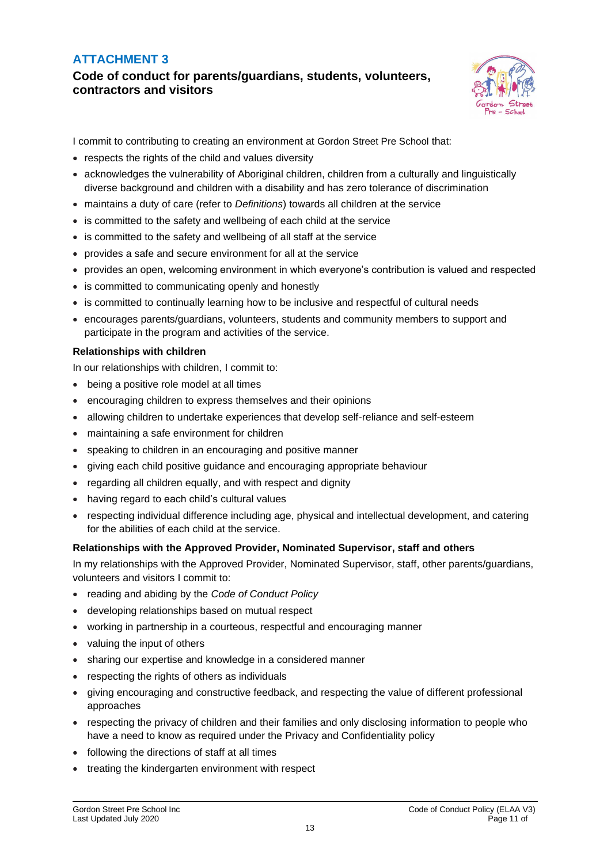### **ATTACHMENT 3**

**Code of conduct for parents/guardians, students, volunteers, contractors and visitors**



I commit to contributing to creating an environment at Gordon Street Pre School that:

- respects the rights of the child and values diversity
- acknowledges the vulnerability of Aboriginal children, children from a culturally and linguistically diverse background and children with a disability and has zero tolerance of discrimination
- maintains a duty of care (refer to *Definitions*) towards all children at the service
- is committed to the safety and wellbeing of each child at the service
- is committed to the safety and wellbeing of all staff at the service
- provides a safe and secure environment for all at the service
- provides an open, welcoming environment in which everyone's contribution is valued and respected
- is committed to communicating openly and honestly
- is committed to continually learning how to be inclusive and respectful of cultural needs
- encourages parents/guardians, volunteers, students and community members to support and participate in the program and activities of the service.

#### **Relationships with children**

In our relationships with children, I commit to:

- being a positive role model at all times
- encouraging children to express themselves and their opinions
- allowing children to undertake experiences that develop self-reliance and self-esteem
- maintaining a safe environment for children
- speaking to children in an encouraging and positive manner
- giving each child positive guidance and encouraging appropriate behaviour
- regarding all children equally, and with respect and dignity
- having regard to each child's cultural values
- respecting individual difference including age, physical and intellectual development, and catering for the abilities of each child at the service.

#### **Relationships with the Approved Provider, Nominated Supervisor, staff and others**

In my relationships with the Approved Provider, Nominated Supervisor, staff, other parents/guardians, volunteers and visitors I commit to:

- reading and abiding by the *Code of Conduct Policy*
- developing relationships based on mutual respect
- working in partnership in a courteous, respectful and encouraging manner
- valuing the input of others
- sharing our expertise and knowledge in a considered manner
- respecting the rights of others as individuals
- giving encouraging and constructive feedback, and respecting the value of different professional approaches
- respecting the privacy of children and their families and only disclosing information to people who have a need to know as required under the Privacy and Confidentiality policy
- following the directions of staff at all times
- treating the kindergarten environment with respect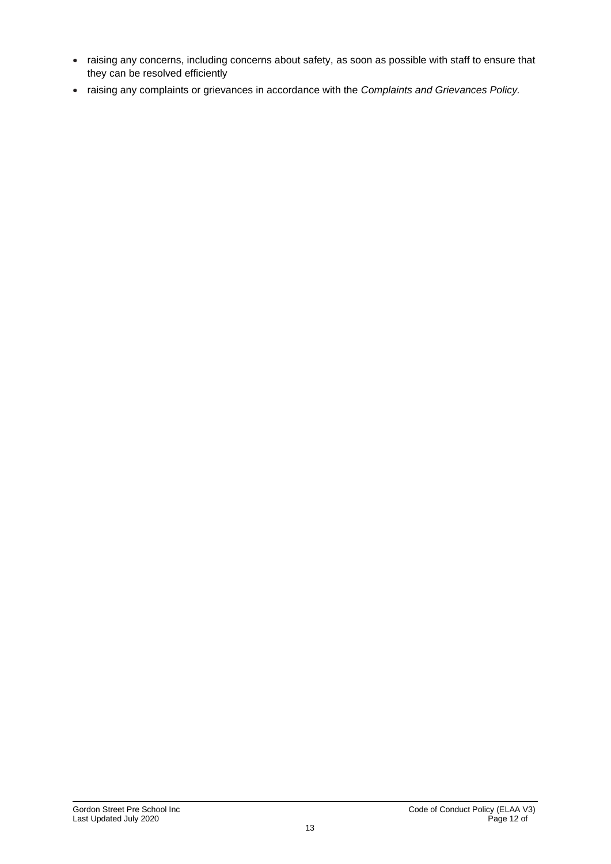- raising any concerns, including concerns about safety, as soon as possible with staff to ensure that they can be resolved efficiently
- raising any complaints or grievances in accordance with the *Complaints and Grievances Policy.*